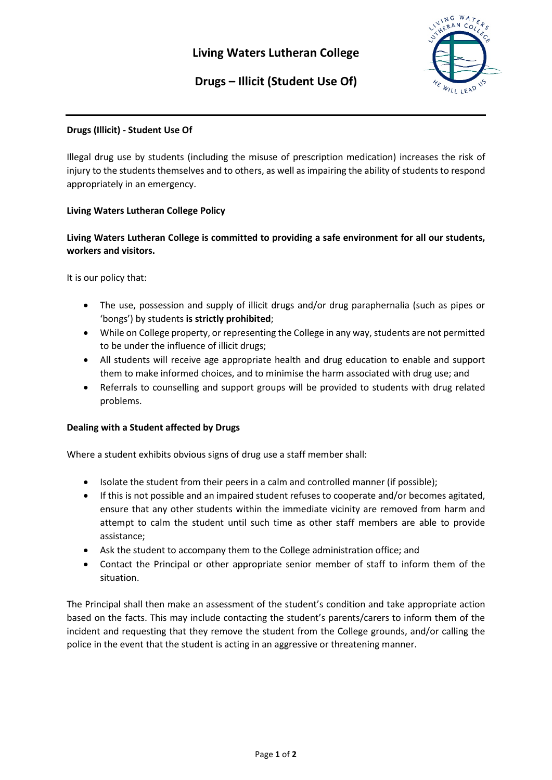

# **Drugs – Illicit (Student Use Of)**

## **Drugs (Illicit) - Student Use Of**

Illegal drug use by students (including the misuse of prescription medication) increases the risk of injury to the students themselves and to others, as well as impairing the ability of students to respond appropriately in an emergency.

## **Living Waters Lutheran College Policy**

**Living Waters Lutheran College is committed to providing a safe environment for all our students, workers and visitors.**

It is our policy that:

- The use, possession and supply of illicit drugs and/or drug paraphernalia (such as pipes or 'bongs') by students **is strictly prohibited**;
- While on College property, or representing the College in any way, students are not permitted to be under the influence of illicit drugs;
- All students will receive age appropriate health and drug education to enable and support them to make informed choices, and to minimise the harm associated with drug use; and
- Referrals to counselling and support groups will be provided to students with drug related problems.

#### **Dealing with a Student affected by Drugs**

Where a student exhibits obvious signs of drug use a staff member shall:

- Isolate the student from their peers in a calm and controlled manner (if possible);
- If this is not possible and an impaired student refuses to cooperate and/or becomes agitated, ensure that any other students within the immediate vicinity are removed from harm and attempt to calm the student until such time as other staff members are able to provide assistance;
- Ask the student to accompany them to the College administration office; and
- Contact the Principal or other appropriate senior member of staff to inform them of the situation.

The Principal shall then make an assessment of the student's condition and take appropriate action based on the facts. This may include contacting the student's parents/carers to inform them of the incident and requesting that they remove the student from the College grounds, and/or calling the police in the event that the student is acting in an aggressive or threatening manner.